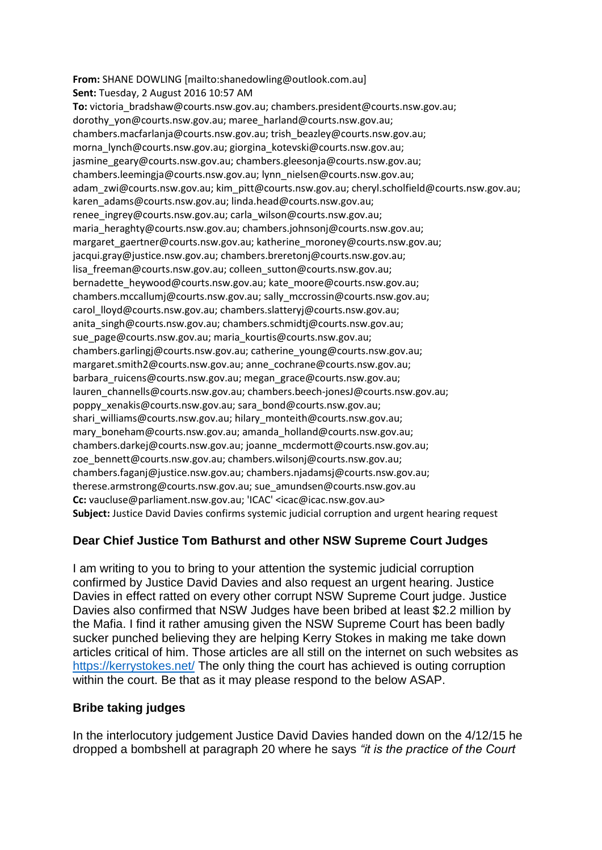#### **From:** SHANE DOWLING [mailto:shanedowling@outlook.com.au] **Sent:** Tuesday, 2 August 2016 10:57 AM

**To:** victoria\_bradshaw@courts.nsw.gov.au; chambers.president@courts.nsw.gov.au; dorothy\_yon@courts.nsw.gov.au; maree\_harland@courts.nsw.gov.au; chambers.macfarlanja@courts.nsw.gov.au; trish\_beazley@courts.nsw.gov.au; morna\_lynch@courts.nsw.gov.au; giorgina\_kotevski@courts.nsw.gov.au; jasmine\_geary@courts.nsw.gov.au; chambers.gleesonja@courts.nsw.gov.au; chambers.leemingja@courts.nsw.gov.au; lynn\_nielsen@courts.nsw.gov.au; adam\_zwi@courts.nsw.gov.au; kim\_pitt@courts.nsw.gov.au; cheryl.scholfield@courts.nsw.gov.au; karen\_adams@courts.nsw.gov.au; linda.head@courts.nsw.gov.au; renee\_ingrey@courts.nsw.gov.au; carla\_wilson@courts.nsw.gov.au; maria\_heraghty@courts.nsw.gov.au; chambers.johnsonj@courts.nsw.gov.au; margaret\_gaertner@courts.nsw.gov.au; katherine\_moroney@courts.nsw.gov.au; jacqui.gray@justice.nsw.gov.au; chambers.breretonj@courts.nsw.gov.au; lisa freeman@courts.nsw.gov.au; colleen\_sutton@courts.nsw.gov.au; bernadette\_heywood@courts.nsw.gov.au; kate\_moore@courts.nsw.gov.au; chambers.mccallumj@courts.nsw.gov.au; sally\_mccrossin@courts.nsw.gov.au; carol\_lloyd@courts.nsw.gov.au; chambers.slatteryj@courts.nsw.gov.au; anita\_singh@courts.nsw.gov.au; chambers.schmidtj@courts.nsw.gov.au; sue\_page@courts.nsw.gov.au; maria\_kourtis@courts.nsw.gov.au; chambers.garlingj@courts.nsw.gov.au; catherine\_young@courts.nsw.gov.au; margaret.smith2@courts.nsw.gov.au; anne\_cochrane@courts.nsw.gov.au; barbara\_ruicens@courts.nsw.gov.au; megan\_grace@courts.nsw.gov.au; lauren\_channells@courts.nsw.gov.au; chambers.beech-jonesJ@courts.nsw.gov.au; poppy\_xenakis@courts.nsw.gov.au; sara\_bond@courts.nsw.gov.au; shari\_williams@courts.nsw.gov.au; hilary\_monteith@courts.nsw.gov.au; mary\_boneham@courts.nsw.gov.au; amanda\_holland@courts.nsw.gov.au; chambers.darkej@courts.nsw.gov.au; joanne\_mcdermott@courts.nsw.gov.au; zoe\_bennett@courts.nsw.gov.au; chambers.wilsonj@courts.nsw.gov.au; chambers.faganj@justice.nsw.gov.au; chambers.njadamsj@courts.nsw.gov.au; therese.armstrong@courts.nsw.gov.au; sue\_amundsen@courts.nsw.gov.au **Cc:** vaucluse@parliament.nsw.gov.au; 'ICAC' <icac@icac.nsw.gov.au> **Subject:** Justice David Davies confirms systemic judicial corruption and urgent hearing request

# **Dear Chief Justice Tom Bathurst and other NSW Supreme Court Judges**

I am writing to you to bring to your attention the systemic judicial corruption confirmed by Justice David Davies and also request an urgent hearing. Justice Davies in effect ratted on every other corrupt NSW Supreme Court judge. Justice Davies also confirmed that NSW Judges have been bribed at least \$2.2 million by the Mafia. I find it rather amusing given the NSW Supreme Court has been badly sucker punched believing they are helping Kerry Stokes in making me take down articles critical of him. Those articles are all still on the internet on such websites as <https://kerrystokes.net/> The only thing the court has achieved is outing corruption within the court. Be that as it may please respond to the below ASAP.

# **Bribe taking judges**

In the interlocutory judgement Justice David Davies handed down on the 4/12/15 he dropped a bombshell at paragraph 20 where he says *"it is the practice of the Court*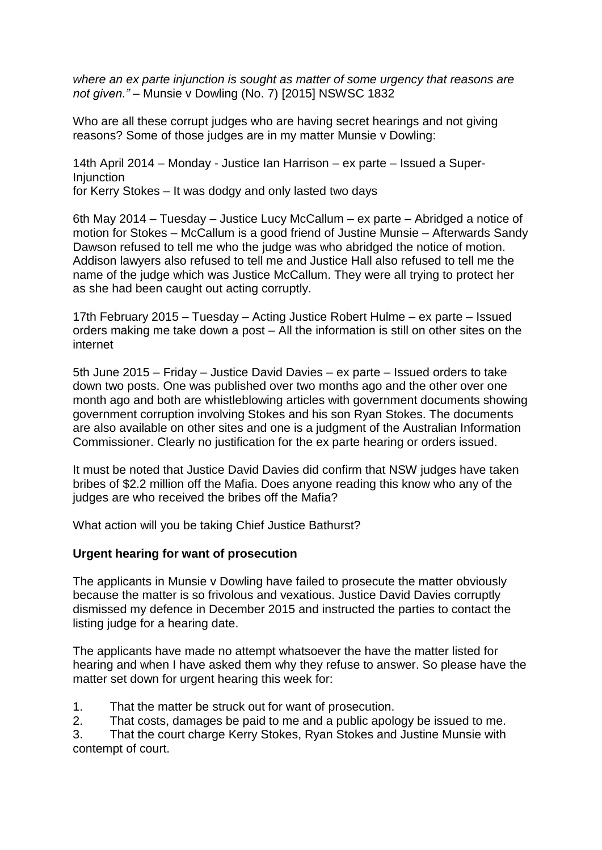*where an ex parte injunction is sought as matter of some urgency that reasons are not given."* – Munsie v Dowling (No. 7) [2015] NSWSC 1832

Who are all these corrupt judges who are having secret hearings and not giving reasons? Some of those judges are in my matter Munsie v Dowling:

14th April 2014 – Monday - Justice Ian Harrison – ex parte – Issued a Super-**Injunction** for Kerry Stokes – It was dodgy and only lasted two days

6th May 2014 – Tuesday – Justice Lucy McCallum – ex parte – Abridged a notice of motion for Stokes – McCallum is a good friend of Justine Munsie – Afterwards Sandy Dawson refused to tell me who the judge was who abridged the notice of motion. Addison lawyers also refused to tell me and Justice Hall also refused to tell me the name of the judge which was Justice McCallum. They were all trying to protect her as she had been caught out acting corruptly.

17th February 2015 – Tuesday – Acting Justice Robert Hulme – ex parte – Issued orders making me take down a post – All the information is still on other sites on the internet

5th June 2015 – Friday – Justice David Davies – ex parte – Issued orders to take down two posts. One was published over two months ago and the other over one month ago and both are whistleblowing articles with government documents showing government corruption involving Stokes and his son Ryan Stokes. The documents are also available on other sites and one is a judgment of the Australian Information Commissioner. Clearly no justification for the ex parte hearing or orders issued.

It must be noted that Justice David Davies did confirm that NSW judges have taken bribes of \$2.2 million off the Mafia. Does anyone reading this know who any of the judges are who received the bribes off the Mafia?

What action will you be taking Chief Justice Bathurst?

### **Urgent hearing for want of prosecution**

The applicants in Munsie v Dowling have failed to prosecute the matter obviously because the matter is so frivolous and vexatious. Justice David Davies corruptly dismissed my defence in December 2015 and instructed the parties to contact the listing judge for a hearing date.

The applicants have made no attempt whatsoever the have the matter listed for hearing and when I have asked them why they refuse to answer. So please have the matter set down for urgent hearing this week for:

1. That the matter be struck out for want of prosecution.

2. That costs, damages be paid to me and a public apology be issued to me.

3. That the court charge Kerry Stokes, Ryan Stokes and Justine Munsie with contempt of court.